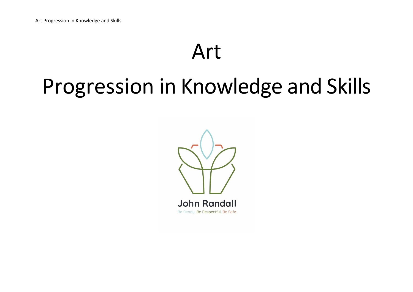## Art

## Progression in Knowledge and Skills

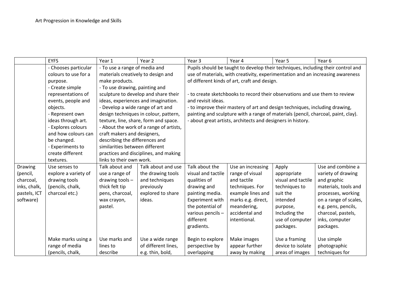|              | <b>EYFS</b>          | Year 1                                                           | Year 2                                  | Year <sub>3</sub>                                                                | Year 4                                                                            | Year 5             | Year 6                |  |
|--------------|----------------------|------------------------------------------------------------------|-----------------------------------------|----------------------------------------------------------------------------------|-----------------------------------------------------------------------------------|--------------------|-----------------------|--|
|              | - Chooses particular | - To use a range of media and                                    |                                         | Pupils should be taught to develop their techniques, including their control and |                                                                                   |                    |                       |  |
|              | colours to use for a | materials creatively to design and                               |                                         | use of materials, with creativity, experimentation and an increasing awareness   |                                                                                   |                    |                       |  |
|              | purpose.             | make products.                                                   |                                         | of different kinds of art, craft and design.                                     |                                                                                   |                    |                       |  |
|              | - Create simple      | - To use drawing, painting and                                   |                                         |                                                                                  |                                                                                   |                    |                       |  |
|              | representations of   |                                                                  | sculpture to develop and share their    | - to create sketchbooks to record their observations and use them to review      |                                                                                   |                    |                       |  |
|              | events, people and   |                                                                  | ideas, experiences and imagination.     | and revisit ideas.                                                               |                                                                                   |                    |                       |  |
|              | objects.             | - Develop a wide range of art and                                |                                         | - to improve their mastery of art and design techniques, including drawing,      |                                                                                   |                    |                       |  |
|              | - Represent own      |                                                                  | design techniques in colour, pattern,   |                                                                                  | painting and sculpture with a range of materials (pencil, charcoal, paint, clay). |                    |                       |  |
|              | ideas through art.   |                                                                  | texture, line, share, form and space.   |                                                                                  | - about great artists, architects and designers in history.                       |                    |                       |  |
|              | - Explores colours   |                                                                  | - About the work of a range of artists, |                                                                                  |                                                                                   |                    |                       |  |
|              | and how colours can  | craft makers and designers,                                      |                                         |                                                                                  |                                                                                   |                    |                       |  |
|              | be changed.          | describing the differences and<br>similarities between different |                                         |                                                                                  |                                                                                   |                    |                       |  |
|              | - Experiments to     |                                                                  |                                         |                                                                                  |                                                                                   |                    |                       |  |
|              | create different     |                                                                  | practices and disciplines, and making   |                                                                                  |                                                                                   |                    |                       |  |
|              | textures.            | links to their own work.                                         |                                         |                                                                                  |                                                                                   |                    |                       |  |
| Drawing      | Use senses to        | Talk about and                                                   | Talk about and use                      | Talk about the                                                                   | Use an increasing                                                                 | Apply              | Use and combine a     |  |
| (pencil,     | explore a variety of | use a range of                                                   | the drawing tools                       | visual and tactile                                                               | range of visual                                                                   | appropriate        | variety of drawing    |  |
| charcoal,    | drawing tools        | drawing tools-                                                   | and techniques                          | qualities of                                                                     | and tactile                                                                       | visual and tactile | and graphic           |  |
| inks, chalk, | (pencils, chalk,     | thick felt tip                                                   | previously                              | drawing and                                                                      | techniques. For                                                                   | techniques to      | materials, tools and  |  |
| pastels, ICT | charcoal etc.)       | pens, charcoal,                                                  | explored to share                       | painting media.                                                                  | example lines and                                                                 | suit the           | processes, working    |  |
| software)    |                      | wax crayon,                                                      | ideas.                                  | Experiment with                                                                  | marks e.g. direct,                                                                | intended           | on a range of scales, |  |
|              |                      | pastel.                                                          |                                         | the potential of                                                                 | meandering,                                                                       | purpose,           | e.g. pens, pencils,   |  |
|              |                      |                                                                  |                                         | various pencils -                                                                | accidental and                                                                    | Including the      | charcoal, pastels,    |  |
|              |                      |                                                                  |                                         | different                                                                        | intentional.                                                                      | use of computer    | inks, computer        |  |
|              |                      |                                                                  |                                         | gradients.                                                                       |                                                                                   | packages.          | packages.             |  |
|              | Make marks using a   | Use marks and                                                    | Use a wide range                        | Begin to explore                                                                 | Make images                                                                       | Use a framing      | Use simple            |  |
|              | range of media       | lines to                                                         | of different lines,                     | perspective by                                                                   | appear further                                                                    | device to isolate  | photographic          |  |
|              | (pencils, chalk,     | describe                                                         | e.g. thin, bold,                        | overlapping                                                                      | away by making                                                                    | areas of images    | techniques for        |  |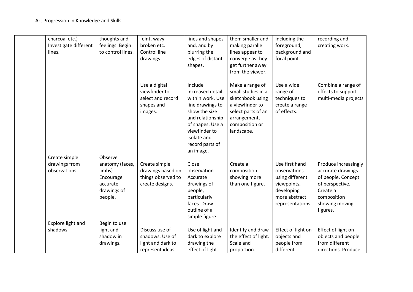| charcoal etc.)        | thoughts and      | feint, wavy,       | lines and shapes | them smaller and     | including the      | recording and        |
|-----------------------|-------------------|--------------------|------------------|----------------------|--------------------|----------------------|
| Investigate different | feelings. Begin   | broken etc.        | and, and by      | making parallel      | foreground,        | creating work.       |
| lines.                | to control lines. | Control line       | blurring the     | lines appear to      | background and     |                      |
|                       |                   | drawings.          | edges of distant | converge as they     | focal point.       |                      |
|                       |                   |                    | shapes.          | get further away     |                    |                      |
|                       |                   |                    |                  | from the viewer.     |                    |                      |
|                       |                   |                    |                  |                      |                    |                      |
|                       |                   | Use a digital      | Include          | Make a range of      | Use a wide         | Combine a range of   |
|                       |                   | viewfinder to      | increased detail | small studies in a   | range of           | effects to support   |
|                       |                   | select and record  | within work. Use | sketchbook using     | techniques to      | multi-media projects |
|                       |                   | shapes and         | line drawings to | a viewfinder to      | create a range     |                      |
|                       |                   | images.            | show the size    | select parts of an   | of effects.        |                      |
|                       |                   |                    | and relationship | arrangement,         |                    |                      |
|                       |                   |                    | of shapes. Use a | composition or       |                    |                      |
|                       |                   |                    | viewfinder to    | landscape.           |                    |                      |
|                       |                   |                    | isolate and      |                      |                    |                      |
|                       |                   |                    | record parts of  |                      |                    |                      |
|                       |                   |                    | an image.        |                      |                    |                      |
| Create simple         | Observe           |                    |                  |                      |                    |                      |
| drawings from         | anatomy (faces,   | Create simple      | Close            | Create a             | Use first hand     | Produce increasingly |
| observations.         | limbs).           | drawings based on  | observation.     | composition          | observations       | accurate drawings    |
|                       | Encourage         | things observed to | Accurate         | showing more         | using different    | of people. Concept   |
|                       | accurate          | create designs.    | drawings of      | than one figure.     | viewpoints,        | of perspective.      |
|                       | drawings of       |                    | people,          |                      | developing         | Create a             |
|                       | people.           |                    | particularly     |                      | more abstract      | composition          |
|                       |                   |                    | faces. Draw      |                      | representations.   | showing moving       |
|                       |                   |                    | outline of a     |                      |                    | figures.             |
|                       |                   |                    | simple figure.   |                      |                    |                      |
| Explore light and     | Begin to use      |                    |                  |                      |                    |                      |
| shadows.              | light and         | Discuss use of     | Use of light and | Identify and draw    | Effect of light on | Effect of light on   |
|                       | shadow in         | shadows. Use of    | dark to explore  | the effect of light. | objects and        | objects and people   |
|                       | drawings.         | light and dark to  | drawing the      | Scale and            | people from        | from different       |
|                       |                   | represent ideas.   | effect of light. | proportion.          | different          | directions. Produce  |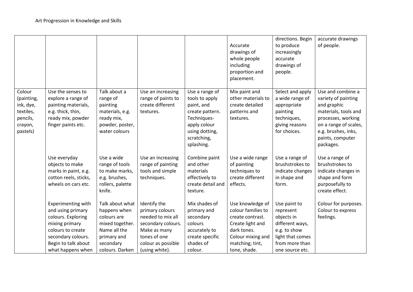|                                                                                   |                                                                                                                                                                        |                                                                                                                                  |                                                                                                                                                    |                                                                                                                                                 | Accurate<br>drawings of<br>whole people<br>including<br>proportion and<br>placement.                                                                  | directions. Begin<br>to produce<br>increasingly<br>accurate<br>drawings of<br>people.                                               | accurate drawings<br>of people.                                                                                                                                                        |
|-----------------------------------------------------------------------------------|------------------------------------------------------------------------------------------------------------------------------------------------------------------------|----------------------------------------------------------------------------------------------------------------------------------|----------------------------------------------------------------------------------------------------------------------------------------------------|-------------------------------------------------------------------------------------------------------------------------------------------------|-------------------------------------------------------------------------------------------------------------------------------------------------------|-------------------------------------------------------------------------------------------------------------------------------------|----------------------------------------------------------------------------------------------------------------------------------------------------------------------------------------|
| Colour<br>(painting,<br>ink, dye,<br>textiles,<br>pencils,<br>crayon,<br>pastels) | Use the senses to<br>explore a range of<br>painting materials,<br>e.g. thick, thin,<br>ready mix, powder<br>finger paints etc.                                         | Talk about a<br>range of<br>painting<br>materials, e.g.<br>ready mix,<br>powder, poster,<br>water colours                        | Use an increasing<br>range of paints to<br>create different<br>textures.                                                                           | Use a range of<br>tools to apply<br>paint, and<br>create pattern.<br>Techniques-<br>apply colour<br>using dotting,<br>scratching,<br>splashing. | Mix paint and<br>other materials to<br>create detailed<br>patterns and<br>textures.                                                                   | Select and apply<br>a wide range of<br>appropriate<br>painting<br>techniques,<br>giving reasons<br>for choices.                     | Use and combine a<br>variety of painting<br>and graphic<br>materials, tools and<br>processes, working<br>on a range of scales,<br>e.g. brushes, inks,<br>paints, computer<br>packages. |
|                                                                                   | Use everyday<br>objects to make<br>marks in paint, e.g.<br>cotton reels, sticks,<br>wheels on cars etc.                                                                | Use a wide<br>range of tools<br>to make marks,<br>e.g. brushes,<br>rollers, palette<br>knife.                                    | Use an increasing<br>range of painting<br>tools and simple<br>techniques.                                                                          | Combine paint<br>and other<br>materials<br>effectively to<br>create detail and<br>texture.                                                      | Use a wide range<br>of painting<br>techniques to<br>create different<br>effects.                                                                      | Use a range of<br>brushstrokes to<br>indicate changes<br>in shape and<br>form.                                                      | Use a range of<br>brushstrokes to<br>indicate changes in<br>shape and form<br>purposefully to<br>create effect.                                                                        |
|                                                                                   | Experimenting with<br>and using primary<br>colours. Exploring<br>mixing primary<br>colours to create<br>secondary colours.<br>Begin to talk about<br>what happens when | Talk about what<br>happens when<br>colours are<br>mixed together.<br>Name all the<br>primary and<br>secondary<br>colours. Darken | Identify the<br>primary colours<br>needed to mix all<br>secondary colours.<br>Make as many<br>tones of one<br>colour as possible<br>(using white). | Mix shades of<br>primary and<br>secondary<br>colours<br>accurately to<br>create specific<br>shades of<br>colour.                                | Use knowledge of<br>colour families to<br>create contrast.<br>Create light and<br>dark tones.<br>Colour mixing and<br>matching; tint,<br>tone, shade. | Use paint to<br>represent<br>objects in<br>different ways,<br>e.g. to show<br>light that comes<br>from more than<br>one source etc. | Colour for purposes.<br>Colour to express<br>feelings.                                                                                                                                 |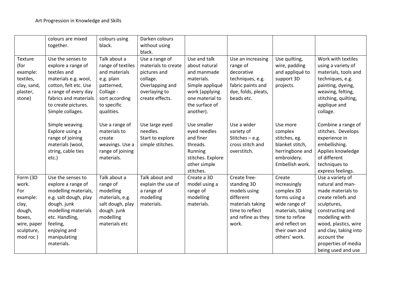|                                                                                                            | colours are mixed<br>together.                                                                                                                                                                             | colours using<br>black.                                                                                                                    | Darken colours<br>without using<br>black.                                                                                |                                                                                                                                                   |                                                                                                                                |                                                                                                                                                                   |                                                                                                                                                                                                                                                   |
|------------------------------------------------------------------------------------------------------------|------------------------------------------------------------------------------------------------------------------------------------------------------------------------------------------------------------|--------------------------------------------------------------------------------------------------------------------------------------------|--------------------------------------------------------------------------------------------------------------------------|---------------------------------------------------------------------------------------------------------------------------------------------------|--------------------------------------------------------------------------------------------------------------------------------|-------------------------------------------------------------------------------------------------------------------------------------------------------------------|---------------------------------------------------------------------------------------------------------------------------------------------------------------------------------------------------------------------------------------------------|
| <b>Texture</b><br>(for<br>example:<br>textiles,<br>clay, sand,<br>plaster,<br>stone)                       | Use the senses to<br>explore a range of<br>textiles and<br>materials e.g. wool,<br>cotton, felt etc. Use<br>a range of every day<br>fabrics and materials<br>to create pictures.<br>Simple collages.       | Talk about a<br>range of textiles<br>and materials<br>e.g. plain<br>patterned,<br>Collage -<br>sort according<br>to specific<br>qualities. | Use a range of<br>materials to create<br>pictures and<br>collage.<br>Overlapping and<br>overlaying to<br>create effects. | Use and talk<br>about natural<br>and manmade<br>materials.<br>Simple appliqué<br>work (applying<br>one material to<br>the surface of<br>another). | Use an increasing<br>range of<br>decorative<br>techniques, e.g.<br>fabric paints and<br>dye, folds, pleats,<br>beads etc.      | Use quilting,<br>wire, padding<br>and appliqué to<br>support 3D<br>projects.                                                                                      | Work with textiles<br>using a variety of<br>materials, tools and<br>techniques, e.g.<br>painting, dyeing,<br>weaving, felting,<br>stitching, quilting,<br>applique and<br>collage.                                                                |
|                                                                                                            | Simple weaving.<br>Explore using a<br>range of joining<br>materials (wool,<br>string, cable ties<br>etc.)                                                                                                  | Use a range of<br>materials to<br>create<br>weavings. Use a<br>range of joining<br>materials.                                              | Use large eyed<br>needles.<br>Start to explore<br>simple stitches.                                                       | Use smaller<br>eyed needles<br>and finer<br>threads.<br>Running<br>stitches. Explore<br>other simple<br>stitches.                                 | Use a wider<br>variety of<br>Stitches $-$ e.g.<br>cross stitch and<br>overstitch.                                              | Use more<br>complex<br>stitches, eg.<br>blanket stitch,<br>herringbone and<br>embroidery.<br>Embellish work.                                                      | Combine a range of<br>stitches. Develops<br>experience in<br>embellishing.<br>Applies knowledge<br>of different<br>techniques to<br>express feelings.                                                                                             |
| Form (3D<br>work.<br>For<br>example:<br>clay,<br>dough,<br>boxes,<br>wire, paper<br>sculpture,<br>mod roc) | Use the senses to<br>explore a range of<br>modelling materials,<br>e.g. salt dough, play<br>dough. junk<br>modelling materials<br>etc. Handling,<br>feeling,<br>enjoying and<br>manipulating<br>materials. | Talk about a<br>range of<br>modelling<br>materials, e.g.<br>salt dough, play<br>dough. junk<br>modelling<br>materials etc                  | Talk about and<br>explain the use of<br>a range of<br>modelling<br>materials.                                            | Create a 3D<br>model using a<br>range of<br>modelling<br>materials.                                                                               | Create free-<br>standing 3D<br>models using<br>different<br>materials taking<br>time to reflect<br>and refine as they<br>work. | Create<br>increasingly<br>complex 3D<br>forms using a<br>wide range of<br>materials, taking<br>time to refine<br>and reflect on<br>their own and<br>others' work. | Use a variety of<br>natural and man-<br>made materials to<br>create reliefs and<br>sculptures,<br>constructing and<br>modelling with<br>wood, plastics, wire<br>and clay, taking into<br>account the<br>properties of media<br>being used and use |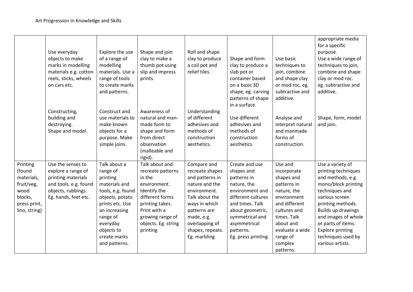|                                                                                                    | Use everyday<br>objects to make<br>marks in modelling<br>materials e.g. cotton<br>reels, sticks, wheels<br>on cars etc.              | Explore the use<br>of a range of<br>modelling<br>materials. Use a<br>range of tools<br>to create marks<br>and patterns.                                                                                  | Shape and join<br>clay to make a<br>thumb pot using<br>slip and impress<br>prints.                                                                                                         | Roll and shape<br>clay to produce<br>a coil pot and<br>relief tiles.                                                                                                                                       | Shape and form<br>clay to produce a<br>slab pot or<br>container based<br>on a basic 3D<br>shape, eg. carving<br>patterns of shape<br>in a surface.                                                               | Use basic<br>techniques to<br>join, combine<br>and shape clay<br>or mod roc, eg.<br>subtractive and<br>additive.                                                                                      | appropriate media<br>for a specific<br>purpose.<br>Use a wide range of<br>techniques to join,<br>combine and shape<br>clay or mod roc.<br>eg. subtractive and<br>additive.                                                                                                           |
|----------------------------------------------------------------------------------------------------|--------------------------------------------------------------------------------------------------------------------------------------|----------------------------------------------------------------------------------------------------------------------------------------------------------------------------------------------------------|--------------------------------------------------------------------------------------------------------------------------------------------------------------------------------------------|------------------------------------------------------------------------------------------------------------------------------------------------------------------------------------------------------------|------------------------------------------------------------------------------------------------------------------------------------------------------------------------------------------------------------------|-------------------------------------------------------------------------------------------------------------------------------------------------------------------------------------------------------|--------------------------------------------------------------------------------------------------------------------------------------------------------------------------------------------------------------------------------------------------------------------------------------|
|                                                                                                    | Constructing,<br>building and<br>destroying.<br>Shape and model.                                                                     | Construct and<br>use materials to<br>make known<br>objects for a<br>purpose. Make<br>simple joins.                                                                                                       | Awareness of<br>natural and man-<br>made form to<br>shape and form<br>from direct<br>observation<br>(malleable and<br>rigid).                                                              | Understanding<br>of different<br>adhesives and<br>methods of<br>construction<br>aesthetics.                                                                                                                | Use different<br>adhesives and<br>methods of<br>construction<br>aesthetics.                                                                                                                                      | Analyse and<br>interpret natural<br>and manmade<br>forms of<br>construction.                                                                                                                          | Shape, form, model<br>and join.                                                                                                                                                                                                                                                      |
| Printing<br>(found<br>materials,<br>fruit/veg,<br>wood<br>blocks,<br>press print,<br>lino, string) | Use the senses to<br>explore a range of<br>printing materials<br>and tools, e.g. found<br>objects, rubbings.<br>Eg. hands, feet etc. | Talk about a<br>range of<br>printing<br>materials and<br>tools, e.g. found<br>objects, potato<br>prints etc. Use<br>an increasing<br>range of<br>everyday<br>objects to<br>create marks<br>and patterns. | Talk about and<br>recreate patterns<br>in the<br>environment.<br>Identify the<br>different forms<br>printing takes.<br>Print with a<br>growing range of<br>objects. Eg. string<br>printing | Compare and<br>recreate shapes<br>and patterns in<br>nature and the<br>environment.<br>Talk about the<br>ways in which<br>patterns are<br>made, e.g.<br>overlapping of<br>shapes, repeats.<br>Eg. marbling | Create and use<br>shapes and<br>patterns in<br>nature, the<br>environment and<br>different cultures<br>and times. Talk<br>about geometric,<br>symmetrical and<br>asymmetrical<br>patterns.<br>Eg. press printing | Use and<br>incorporate<br>shapes and<br>patterns in<br>nature, the<br>environment<br>and different<br>cultures and<br>times. Talk<br>about and<br>evaluate a wide<br>range of<br>complex<br>patterns. | Use a variety of<br>printing techniques<br>and methods, e.g.<br>mono/block printing<br>techniques and<br>various screen<br>printing methods.<br>Builds up drawings<br>and images of whole<br>or parts of items.<br><b>Explore printing</b><br>techniques used by<br>various artists. |